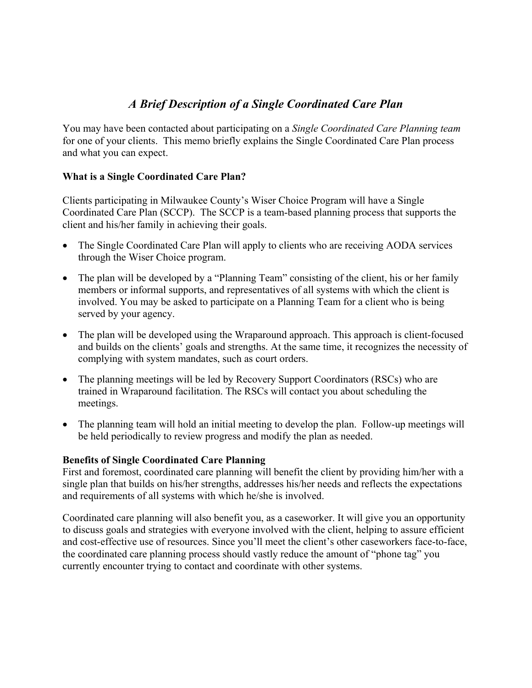## *A Brief Description of a Single Coordinated Care Plan*

You may have been contacted about participating on a *Single Coordinated Care Planning team*  for one of your clients. This memo briefly explains the Single Coordinated Care Plan process and what you can expect.

## **What is a Single Coordinated Care Plan?**

Clients participating in Milwaukee County's Wiser Choice Program will have a Single Coordinated Care Plan (SCCP). The SCCP is a team-based planning process that supports the client and his/her family in achieving their goals.

- The Single Coordinated Care Plan will apply to clients who are receiving AODA services through the Wiser Choice program.
- The plan will be developed by a "Planning Team" consisting of the client, his or her family members or informal supports, and representatives of all systems with which the client is involved. You may be asked to participate on a Planning Team for a client who is being served by your agency.
- The plan will be developed using the Wraparound approach. This approach is client-focused and builds on the clients' goals and strengths. At the same time, it recognizes the necessity of complying with system mandates, such as court orders.
- The planning meetings will be led by Recovery Support Coordinators (RSCs) who are trained in Wraparound facilitation. The RSCs will contact you about scheduling the meetings.
- The planning team will hold an initial meeting to develop the plan. Follow-up meetings will be held periodically to review progress and modify the plan as needed.

## **Benefits of Single Coordinated Care Planning**

First and foremost, coordinated care planning will benefit the client by providing him/her with a single plan that builds on his/her strengths, addresses his/her needs and reflects the expectations and requirements of all systems with which he/she is involved.

Coordinated care planning will also benefit you, as a caseworker. It will give you an opportunity to discuss goals and strategies with everyone involved with the client, helping to assure efficient and cost-effective use of resources. Since you'll meet the client's other caseworkers face-to-face, the coordinated care planning process should vastly reduce the amount of "phone tag" you currently encounter trying to contact and coordinate with other systems.